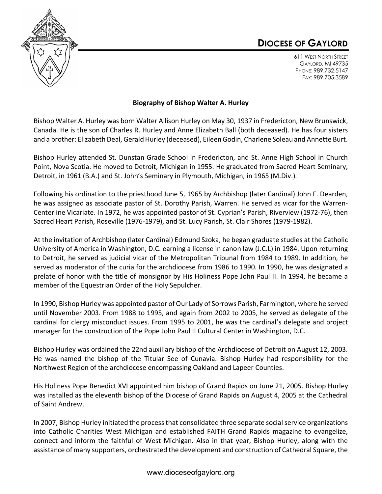## **DIOCESE OF GAYLORD**



611 WEST NORTH STREET GAYLORD, MI 49735 PHONE: 989.732.5147 FAX: 989.705.3589

## **Biography of Bishop Walter A. Hurley**

Bishop Walter A. Hurley was born Walter Allison Hurley on May 30, 1937 in Fredericton, New Brunswick, Canada. He is the son of Charles R. Hurley and Anne Elizabeth Ball (both deceased). He has four sisters and a brother: Elizabeth Deal, Gerald Hurley (deceased), Eileen Godin, Charlene Soleau and Annette Burt.

Bishop Hurley attended St. Dunstan Grade School in Fredericton, and St. Anne High School in Church Point, Nova Scotia. He moved to Detroit, Michigan in 1955. He graduated from Sacred Heart Seminary, Detroit, in 1961 (B.A.) and St. John's Seminary in Plymouth, Michigan, in 1965 (M.Div.).

Following his ordination to the priesthood June 5, 1965 by Archbishop (later Cardinal) John F. Dearden, he was assigned as associate pastor of St. Dorothy Parish, Warren. He served as vicar for the Warren-Centerline Vicariate. In 1972, he was appointed pastor of St. Cyprian's Parish, Riverview (1972-76), then Sacred Heart Parish, Roseville (1976-1979), and St. Lucy Parish, St. Clair Shores (1979-1982).

At the invitation of Archbishop (later Cardinal) Edmund Szoka, he began graduate studies at the Catholic University of America in Washington, D.C. earning a license in canon law (J.C.L) in 1984. Upon returning to Detroit, he served as judicial vicar of the Metropolitan Tribunal from 1984 to 1989. In addition, he served as moderator of the curia for the archdiocese from 1986 to 1990. In 1990, he was designated a prelate of honor with the title of monsignor by His Holiness Pope John Paul II. In 1994, he became a member of the Equestrian Order of the Holy Sepulcher.

In 1990, Bishop Hurley was appointed pastor of Our Lady of Sorrows Parish, Farmington, where he served until November 2003. From 1988 to 1995, and again from 2002 to 2005, he served as delegate of the cardinal for clergy misconduct issues. From 1995 to 2001, he was the cardinal's delegate and project manager for the construction of the Pope John Paul II Cultural Center in Washington, D.C.

Bishop Hurley was ordained the 22nd auxiliary bishop of the Archdiocese of Detroit on August 12, 2003. He was named the bishop of the Titular See of Cunavia. Bishop Hurley had responsibility for the Northwest Region of the archdiocese encompassing Oakland and Lapeer Counties.

His Holiness Pope Benedict XVI appointed him bishop of Grand Rapids on June 21, 2005. Bishop Hurley was installed as the eleventh bishop of the Diocese of Grand Rapids on August 4, 2005 at the Cathedral of Saint Andrew.

In 2007, Bishop Hurley initiated the process that consolidated three separate social service organizations into Catholic Charities West Michigan and established FAITH Grand Rapids magazine to evangelize, connect and inform the faithful of West Michigan. Also in that year, Bishop Hurley, along with the assistance of many supporters, orchestrated the development and construction of Cathedral Square, the